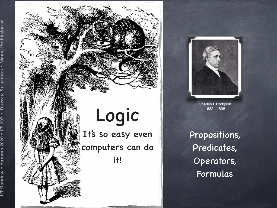

IIT Bombay :: Autumn 2020 :: CS 207 :: Discrete Structures :: Manoj Prabhakaran

 $\therefore$  Autumn 2020

Bombay

Discrete Structures ::

nakaran

Mano



Charles L Dodgson 1832 - 1898

Propositions, Predicates, Operators, Formulas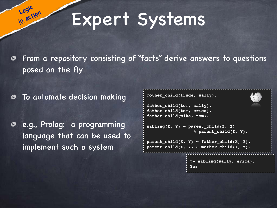# Expert Systems

From a repository consisting of "facts" derive answers to questions posed on the fly

To automate decision making

**Logic** 

**in action**

e.g., Prolog: a programming language that can be used to implement such a system

```
?- sibling(sally, erica).
                   Yes
mother_child(trude, sally).
father child(tom, sally).
father child(tom, erica).
father child(mike, tom).
sibling(X, Y) \leftarrow parentchild(Z, X) ∧ parent_child(Z, Y).
parent child(X, Y) \leftarrow father child(X, Y).
parent\_child(X, Y) \leftarrow mother\_child(X, Y).
```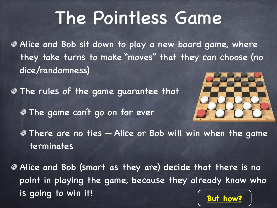# The Pointless Game

Alice and Bob sit down to play a new board game, where they take turns to make "moves" that they can choose (no dice/randomness)

The rules of the game guarantee that

The game can't go on for ever



There are no ties — Alice or Bob will win when the game terminates

Alice and Bob (smart as they are) decide that there is no point in playing the game, because they already know who is going to win it!<br> **But how?**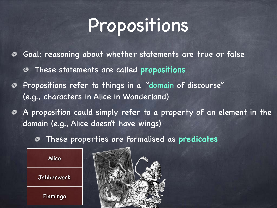# Propositions

- Goal: reasoning about whether statements are true or false ◈
	- These statements are called **propositions** ◉
- Propositions refer to things in a "domain of discourse" (e.g., characters in Alice in Wonderland)
- A proposition could simply refer to a property of an element in the domain (e.g., Alice doesn't have wings)
	- These properties are formalised as **predicates** ◉



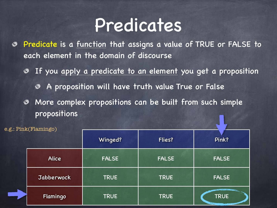### Predicates

- Predicate is a function that assigns a value of TRUE or FALSE to ◈ each element in the domain of discourse
	- If you apply a predicate to an element you get a proposition  $\bullet$ 
		- A proposition will have truth value True or False  $\bullet$
	- More complex propositions can be built from such simple ◉ propositions

| e.g.: Pink(Flamingo) |              |              |                                                             |
|----------------------|--------------|--------------|-------------------------------------------------------------|
|                      | Winged?      | Flies?       | Pink?                                                       |
| Alice                | <b>FALSE</b> | <b>FALSE</b> | <b>FALSE</b>                                                |
| Jabberwock           | <b>TRUE</b>  | <b>TRUE</b>  | <b>FALSE</b>                                                |
| Flamingo             | <b>TRUE</b>  | <b>TRUE</b>  | <b>TRUE</b><br><b>The State and State of State of State</b> |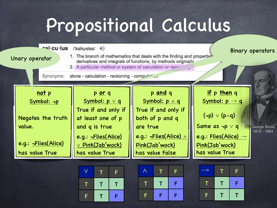# Propositional Calculus

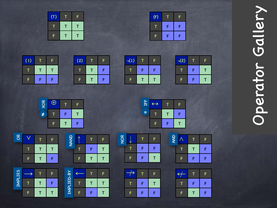# Operator Gallery Operator Gallery

| (F) |   | F |  |
|-----|---|---|--|
| Т   | F | F |  |
| F   | F | F |  |

| Ē |  |
|---|--|
|   |  |
|   |  |

T

(2)

T

F

| (T) | т | F |  |
|-----|---|---|--|
|     |   |   |  |
| F   |   |   |  |

| (1) |   | F |  |
|-----|---|---|--|
|     | Τ | Г |  |
| F   | F | F |  |

T

T

T

T

T

T

F

F

T

OR

T

∨

F

T

→

F

IMPLIES

F

 $\neg(1)$ 

T

F

T

T

F

F

T

F

F

T

↓

NOR

F

T

↛

F

F

F

T

F

F

T

F

T

F

| XOR    | $\bigoplus$ |   |  |
|--------|-------------|---|--|
| $\neq$ |             | F |  |
|        |             |   |  |





|      | F |   |   |  |
|------|---|---|---|--|
| NAND |   |   | F |  |
|      |   | F | т |  |

| <b>Z<br/>NAT</b> |   |   | E |  |
|------------------|---|---|---|--|
|                  |   | 6 |   |  |
|                  | F |   |   |  |

| ר<br>I |   |   | F |  |
|--------|---|---|---|--|
|        |   |   |   |  |
| ニンコ    | F | ۴ |   |  |

| Λ<br>田 | $\leftrightarrow$ |   | F |  |
|--------|-------------------|---|---|--|
| $=$    |                   |   | F |  |
|        | F                 | F |   |  |
|        |                   |   |   |  |

| AND |   |   | F |
|-----|---|---|---|
|     |   | н | F |
|     | F | F | F |

| $\leftrightarrow$ | Ī  | F |
|-------------------|----|---|
|                   | F. | F |
| Ē                 | Т. | F |

| $\leftrightarrow$ |   | F |  |
|-------------------|---|---|--|
| Τ                 | Τ | F |  |
| F                 | F |   |  |
|                   |   |   |  |

| F |     |  |  |  |
|---|-----|--|--|--|
|   | AND |  |  |  |
|   |     |  |  |  |

¬(2)

T

F

T

F

F

F

T

T

| <b>AND</b> |   | Ī | F |
|------------|---|---|---|
|            |   |   | F |
|            | ē | F |   |

| F                 | F |  |
|-------------------|---|--|
|                   |   |  |
| $\leftrightarrow$ |   |  |
|                   |   |  |

| P                 | F |  |
|-------------------|---|--|
|                   |   |  |
| $\leftrightarrow$ |   |  |

| F            | 6 |  |
|--------------|---|--|
|              |   |  |
| $\leftarrow$ | Т |  |
|              |   |  |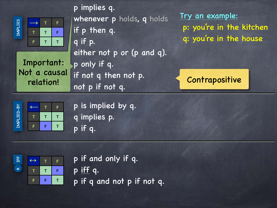

Important: Not a causal relation!

p implies q. whenever p holds, q holds if p then q. q if p. either not p or (p and q). p only if q. if not q then not p. not p if not q.

Try an example: p: you're in the kitchen q: you're in the house





p is implied by q. q implies p. p if q.



- p if and only if q. p iff q.
- p if q and not p if not q.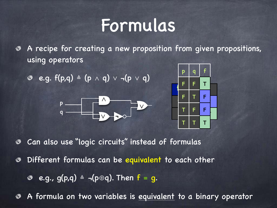### Formulas

A recipe for creating a new proposition from given propositions, ◈ using operators

$$
\bullet \quad e.g. \ f(p,q) \ \triangleq \ (p \ \wedge \ q) \ \vee \ \neg (p \ \vee \ q)
$$





Can also use "logic circuits" instead of formulas ◈

Different formulas can be equivalent to each other ◈

e.g., g(p,q)  $\triangleq \neg(p \oplus q)$ . Then  $f = g$ .  $\circledcirc$ 

A formula on two variables is equivalent to a binary operator ◈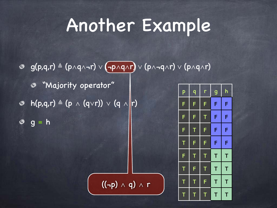## Another Example

g(p,q,r) ≜ (p∧q∧¬r) ∨ (¬p∧q∧r) ∨ (p∧¬q∧r) ∨ (p∧q∧r)

((¬p) ∧ q) ∧ r

"Majority operator"

 $\circ$  h(p,q,r)  $\triangleq$  (p  $\wedge$  (q $\vee$ r))  $\vee$  (q  $\wedge$  |r)

 $9 = h$